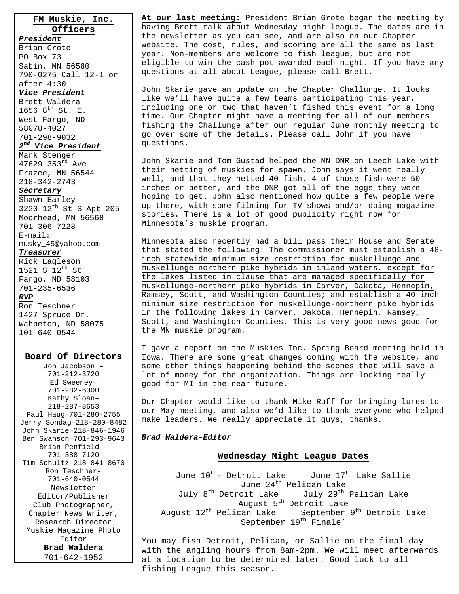**FM Muskie, Inc. Officers** *President*

Brian Grote PO Box 73 Sabin, MN 56580 790-0275 Call 12-1 or after 4:30

#### *Vice President*

Brett Waldera 1656  $8^{th}$  St. E. West Fargo, ND 58078-4027 701-298-9032 *2nd Vice President*

Mark Stenger 47629 353 $^{rd}$  Ave Frazee, MN 56544 218-342-2743

### *Secretary*

Shawn Earley 3220 12th St S Apt 205 Moorhead, MN 56560 701-306-7228 E-mail:

### musky\_45@yahoo.com

*Treasurer*

Rick Eagleson 1521 S  $12^{th}$  St Fargo, ND 58103 701-235-6536 *RVP* Ron Teschner

1427 Spruce Dr. Wahpeton, ND 58075 101-640-0544

### **Board Of Directors**

Jon Jacobson – 701-212-3720 Ed Sweeney– 701-282-6000 Kathy Sloan– 218-287-8653 Paul Haug–701-280-2755 Jerry Sondag–218-280-8482 John Skarie–218-846-1946 Ben Swanson–701-293-9643 Brian Penfield – 701-388-7120 Tim Schultz–218-841-8670 Ron Teschner-701-640-0544 Newsletter Editor/Publisher Club Photographer, Chapter News Writer, Research Director Muskie Magazine Photo Editor **Brad Waldera**  701-642-1952

**At our last meeting:** President Brian Grote began the meeting by having Brett talk about Wednesday night league. The dates are in the newsletter as you can see, and are also on our Chapter website. The cost, rules, and scoring are all the same as last year. Non-members are welcome to fish league, but are not eligible to win the cash pot awarded each night. If you have any questions at all about League, please call Brett.

John Skarie gave an update on the Chapter Challunge. It looks like we'll have quite a few teams participating this year, including one or two that haven't fished this event for a long time. Our Chapter might have a meeting for all of our members fishing the Challunge after our regular June monthly meeting to go over some of the details. Please call John if you have questions.

John Skarie and Tom Gustad helped the MN DNR on Leech Lake with their netting of muskies for spawn. John says it went really well, and that they netted 40 fish. 4 of those fish were 50 inches or better, and the DNR got all of the eggs they were hoping to get. John also mentioned how quite a few people were up there, with some filming for TV shows and/or doing magazine stories. There is a lot of good publicity right now for Minnesota's muskie program.

Minnesota also recently had a bill pass their House and Senate that stated the following: The commissioner must establish a 48 inch statewide minimum size restriction for muskellunge and muskellunge-northern pike hybrids in inland waters, except for the lakes listed in clause that are managed specifically for muskellunge-northern pike hybrids in Carver, Dakota, Hennepin, Ramsey, Scott, and Washington Counties; and establish a 40-inch minimum size restriction for muskellunge-northern pike hybrids in the following lakes in Carver, Dakota, Hennepin, Ramsey, Scott, and Washington Counties. This is very good news good for the MN muskie program.

I gave a report on the Muskies Inc. Spring Board meeting held in Iowa. There are some great changes coming with the website, and some other things happening behind the scenes that will save a lot of money for the organization. Things are looking really good for MI in the near future.

Our Chapter would like to thank Mike Ruff for bringing lures to our May meeting, and also we'd like to thank everyone who helped make leaders. We really appreciate it guys, thanks.

### *Brad Waldera-Editor*

### **Wednesday Night League Dates**

June  $10^{th}$ - Detroit Lake June  $17^{th}$  Lake Sallie June 24<sup>th</sup> Pelican Lake<br>July 8<sup>th</sup> Detroit Lake 5uly 29<sup>th</sup> July 29<sup>th</sup> Pelican Lake August 5<sup>th</sup> Detroit Lake August  $12^{th}$  Pelican Lake September  $9^{th}$  Detroit Lake September 19<sup>th</sup> Finale'

You may fish Detroit, Pelican, or Sallie on the final day with the angling hours from 8am-2pm. We will meet afterwards at a location to be determined later. Good luck to all fishing League this season.